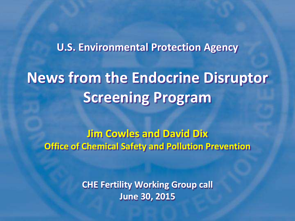# **U.S. Environmental Protection Agency News from the Endocrine Disruptor Screening Program**

**Jim Cowles and David Dix Office of Chemical Safety and Pollution Prevention**

> **CHE Fertility Working Group call June 30, 2015**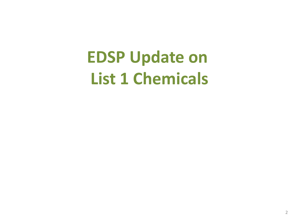# **EDSP Update on List 1 Chemicals**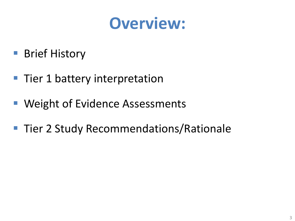## **Overview:**

- Brief History
- Tier 1 battery interpretation
- **Weight of Evidence Assessments**
- **Tier 2 Study Recommendations/Rationale**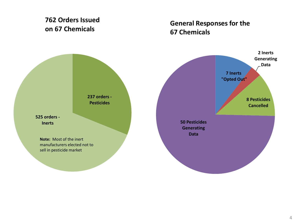#### **762 Orders Issued on 67 Chemicals**

#### **General Responses for the 67 Chemicals**

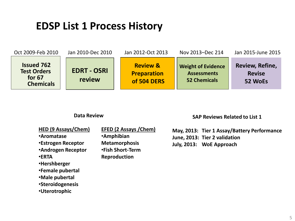#### **EDSP List 1 Process History**



#### **Data Review**

**SAP Reviews Related to List 1**

**HED (9 Assays/Chem)**

•**Aromatase**

•**Estrogen Receptor**

•**Androgen Receptor**

•**ERTA**

- •**Hershberger**
- •**Female pubertal**

•**Male pubertal**

•**Steroidogenesis**

•**Uterotrophic**

**EFED (2 Assays /Chem)**

•**Amphibian Metamorphosis** •**Fish Short-Term Reproduction**

**May, 2013: Tier 1 Assay/Battery Performance June, 2013: Tier 2 validation July, 2013: WoE Approach**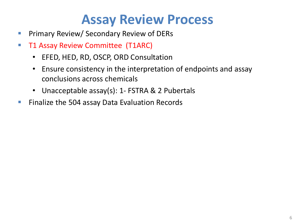## **Assay Review Process**

- **Primary Review/ Secondary Review of DERs**
- **T1 Assay Review Committee (T1ARC)** 
	- EFED, HED, RD, OSCP, ORD Consultation
	- Ensure consistency in the interpretation of endpoints and assay conclusions across chemicals
	- Unacceptable assay(s): 1- FSTRA & 2 Pubertals
- **Finalize the 504 assay Data Evaluation Records**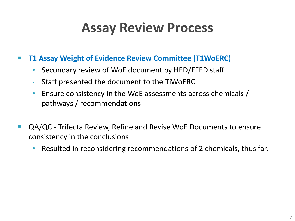## **Assay Review Process**

- **T1 Assay Weight of Evidence Review Committee (T1WoERC)**
	- Secondary review of WoE document by HED/EFED staff
	- Staff presented the document to the TiWoERC
	- Ensure consistency in the WoE assessments across chemicals / pathways / recommendations
- QA/QC Trifecta Review, Refine and Revise WoE Documents to ensure consistency in the conclusions
	- Resulted in reconsidering recommendations of 2 chemicals, thus far.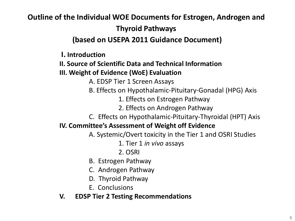#### **Outline of the Individual WOE Documents for Estrogen, Androgen and Thyroid Pathways**

#### **(based on USEPA 2011 Guidance Document)**

**I. Introduction**

#### **II. Source of Scientific Data and Technical Information III. Weight of Evidence (WoE) Evaluation**

A. EDSP Tier 1 Screen Assays

- B. Effects on Hypothalamic-Pituitary-Gonadal (HPG) Axis
	- 1. Effects on Estrogen Pathway
	- 2. Effects on Androgen Pathway
- C. Effects on Hypothalamic-Pituitary-Thyroidal (HPT) Axis

#### **IV. Committee's Assessment of Weight off Evidence**

- A. Systemic/Overt toxicity in the Tier 1 and OSRI Studies
	- 1. Tier 1 *in vivo* assays
	- 2. OSRI
- B. Estrogen Pathway
- C. Androgen Pathway
- D. Thyroid Pathway
- E. Conclusions

#### **V. EDSP Tier 2 Testing Recommendations**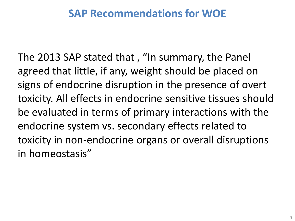### **SAP Recommendations for WOE**

The 2013 SAP stated that , "In summary, the Panel agreed that little, if any, weight should be placed on signs of endocrine disruption in the presence of overt toxicity. All effects in endocrine sensitive tissues should be evaluated in terms of primary interactions with the endocrine system vs. secondary effects related to toxicity in non-endocrine organs or overall disruptions in homeostasis"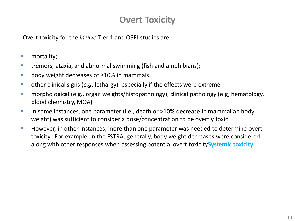#### **Overt Toxicity**

Overt toxicity for the *in vivo* Tier 1 and OSRI studies are:

- **nortality**:
- **tremors, ataxia, and abnormal swimming (fish and amphibians);**
- body weight decreases of  $\geq$ 10% in mammals.
- other clinical signs (*e.g*, lethargy) especially if the effects were extreme.
- **namorphological (e.g., organ weights/histopathology), clinical pathology (e.g, hematology,** blood chemistry, MOA)
- In some instances, one parameter (i.e., death or >10% decrease in mammalian body weight) was sufficient to consider a dose/concentration to be overtly toxic.
- **However, in other instances, more than one parameter was needed to determine overt** toxicity. For example, in the FSTRA, generally, body weight decreases were considered along with other responses when assessing potential overt toxicity**Systemic toxicity**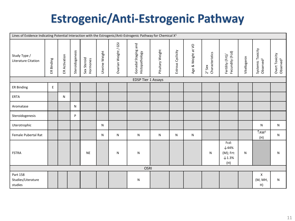### **Estrogenic/Anti-Estrogenic Pathway**

| Lines of Evidence Indicating Potential Interaction with the Estrogenic/Anti-Estrogenic Pathway for Chemical X <sup>1</sup> |            |               |                 |                         |                |                      |                                       |                  |                   |                    |                           |                                                                  |              |                                            |                                         |
|----------------------------------------------------------------------------------------------------------------------------|------------|---------------|-----------------|-------------------------|----------------|----------------------|---------------------------------------|------------------|-------------------|--------------------|---------------------------|------------------------------------------------------------------|--------------|--------------------------------------------|-----------------------------------------|
| Study Type /<br>Literature Citation                                                                                        | ER Binding | ER Activation | Steroidogenesis | Sex Steroid<br>Hormones | Uterine Weight | Ovarian Weight / GSI | Gonadal Staging and<br>Histopathology | Pituitary Weight | Estrous Cyclicity | Age & Weight at VO | Characteristics<br>2° Sex | Fecundity (Fcd)<br>Fertility (Frt)/                              | Vitellogenin | Systemic Toxicity<br>Observed <sup>2</sup> | Overt Toxicity<br>Observed <sup>3</sup> |
| <b>EDSP Tier 1 Assays</b>                                                                                                  |            |               |                 |                         |                |                      |                                       |                  |                   |                    |                           |                                                                  |              |                                            |                                         |
| <b>ER Binding</b>                                                                                                          | E          |               |                 |                         |                |                      |                                       |                  |                   |                    |                           |                                                                  |              |                                            |                                         |
| <b>ERTA</b>                                                                                                                |            | N             |                 |                         |                |                      |                                       |                  |                   |                    |                           |                                                                  |              |                                            |                                         |
| Aromatase                                                                                                                  |            |               | N               |                         |                |                      |                                       |                  |                   |                    |                           |                                                                  |              |                                            |                                         |
| Steroidogenesis                                                                                                            |            |               | P               |                         |                |                      |                                       |                  |                   |                    |                           |                                                                  |              |                                            |                                         |
| Uterotrophic                                                                                                               |            |               |                 |                         | N              |                      |                                       |                  |                   |                    |                           |                                                                  |              | N                                          | N                                       |
| Female Pubertal Rat                                                                                                        |            |               |                 |                         | N              | $\mathsf{N}$         | N                                     | N                | N                 | N                  |                           |                                                                  |              | TAW <sub>5</sub><br>(H)                    | N                                       |
| <b>FSTRA</b>                                                                                                               |            |               |                 | <b>NE</b>               |                | N                    | N                                     |                  |                   |                    | N                         | Fcd:<br>$\downarrow$ 44%<br>$(M)$ ; Frt:<br>$\times$ 1.3%<br>(H) | N            |                                            | N                                       |
|                                                                                                                            |            |               |                 |                         |                |                      | <b>OSRI</b>                           |                  |                   |                    |                           |                                                                  |              |                                            |                                         |
| Part 158<br>Studies/Literature<br>studies                                                                                  |            |               |                 |                         |                |                      | N                                     |                  |                   |                    |                           |                                                                  |              | X<br>(M, MH,<br>H)                         | N                                       |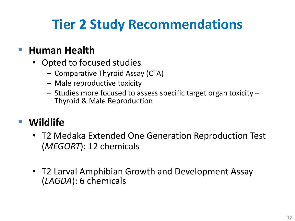## **Tier 2 Study Recommendations**

### **Human Health**

- Opted to focused studies
	- Comparative Thyroid Assay (CTA)
	- Male reproductive toxicity
	- Studies more focused to assess specific target organ toxicity Thyroid & Male Reproduction

### **Wildlife**

- T2 Medaka Extended One Generation Reproduction Test (*MEGORT*): 12 chemicals
- T2 Larval Amphibian Growth and Development Assay (*LAGDA*): 6 chemicals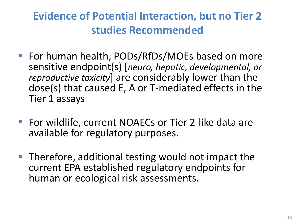### **Evidence of Potential Interaction, but no Tier 2 studies Recommended**

- For human health, PODs/RfDs/MOEs based on more sensitive endpoint(s) [*neuro, hepatic, developmental, or reproductive toxicity*] are considerably lower than the dose(s) that caused E, A or T-mediated effects in the Tier 1 assays
- For wildlife, current NOAECs or Tier 2-like data are available for regulatory purposes.
- $\blacksquare$  Therefore, additional testing would not impact the current EPA established regulatory endpoints for human or ecological risk assessments.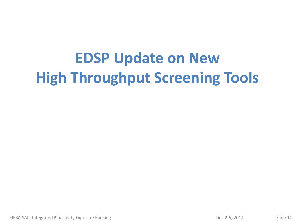# **EDSP Update on New High Throughput Screening Tools**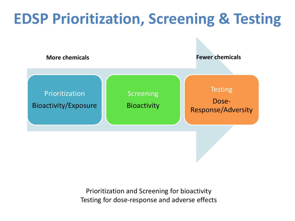## **EDSP Prioritization, Screening & Testing**



Prioritization and Screening for bioactivity Testing for dose-response and adverse effects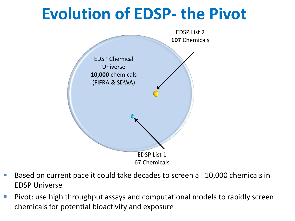# **Evolution of EDSP- the Pivot**



- Based on current pace it could take decades to screen all 10,000 chemicals in EDSP Universe
- **Pivot: use high throughput assays and computational models to rapidly screen** chemicals for potential bioactivity and exposure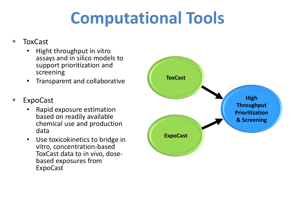# **Computational Tools**

#### **ToxCast**

- Hight throughput in vitro assays and in silico models to support prioritization and screening
- Transparent and collaborative
- ExpoCast
	- Rapid exposure estimation based on readily available chemical use and production data
	- Use toxicokinetics to bridge in vitro, concentration-based ToxCast data to in vivo, dosebased exposures from ExpoCast

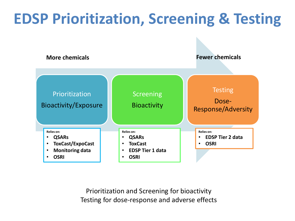## **EDSP Prioritization, Screening & Testing**



Prioritization and Screening for bioactivity Testing for dose-response and adverse effects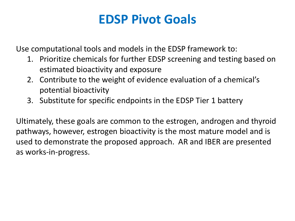### **EDSP Pivot Goals**

Use computational tools and models in the EDSP framework to:

- 1. Prioritize chemicals for further EDSP screening and testing based on estimated bioactivity and exposure
- 2. Contribute to the weight of evidence evaluation of a chemical's potential bioactivity
- 3. Substitute for specific endpoints in the EDSP Tier 1 battery

Ultimately, these goals are common to the estrogen, androgen and thyroid pathways, however, estrogen bioactivity is the most mature model and is used to demonstrate the proposed approach. AR and IBER are presented as works-in-progress.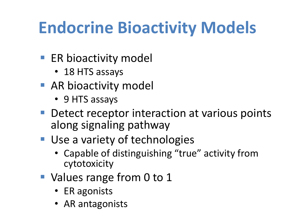# **Endocrine Bioactivity Models**

- ER bioactivity model
	- 18 HTS assays
- **AR bioactivity model** 
	- 9 HTS assays
- **Detect receptor interaction at various points** along signaling pathway
- Use a variety of technologies
	- Capable of distinguishing "true" activity from cytotoxicity
- Values range from 0 to 1
	- ER agonists
	- AR antagonists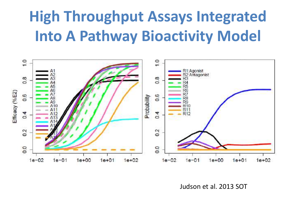## **High Throughput Assays Integrated Into A Pathway Bioactivity Model**



Judson et al. 2013 SOT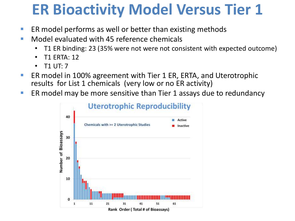## **ER Bioactivity Model Versus Tier 1**

- **ER model performs as well or better than existing methods**
- **Nodel evaluated with 45 reference chemicals** 
	- T1 ER binding: 23 (35% were not were not consistent with expected outcome)
	- T1 ERTA: 12
	- T1 UT: 7
- ER model in 100% agreement with Tier 1 ER, ERTA, and Uterotrophic results for List 1 chemicals (very low or no ER activity)
- **ER model may be more sensitive than Tier 1 assays due to redundancy**

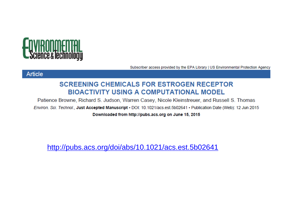

Subscriber access provided by the EPA Library | US Environmental Protection Agency

#### **Article**

#### **SCREENING CHEMICALS FOR ESTROGEN RECEPTOR BIOACTIVITY USING A COMPUTATIONAL MODEL**

Patience Browne, Richard S. Judson, Warren Casey, Nicole Kleinstreuer, and Russell S. Thomas Environ, Sci. Technol., Just Accepted Manuscript · DOI: 10.1021/acs.est.5b02641 · Publication Date (Web): 12 Jun 2015 Downloaded from http://pubs.acs.org on June 15, 2015

<http://pubs.acs.org/doi/abs/10.1021/acs.est.5b02641>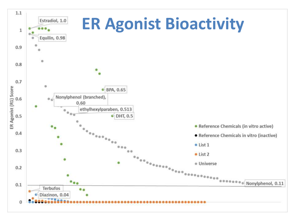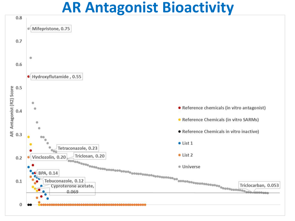## **AR Antagonist Bioactivity**

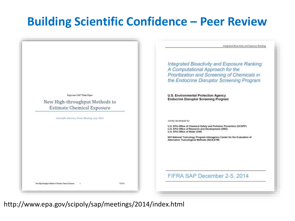### **Building Scientific Confidence – Peer Review**



http://www.epa.gov/scipoly/sap/meetings/2014/index.html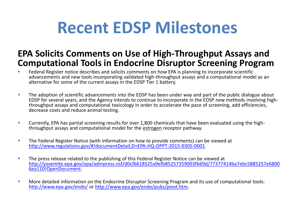# **Recent EDSP Milestones**

#### **EPA Solicits Comments on Use of High-Throughput Assays and Computational Tools in Endocrine Disruptor Screening Program**

- **FRED ENEX ASSESSED FEDERITHS IN A SET ASSESSED FEA 15 FEDERITHS CONTINUITY FREDUCES** FEBRIFIC advancements and new tools incorporating validated high-throughput assays and a computational model as an alternative for some of the current assays in the EDSP Tier 1 battery.
- The adoption of scientific advancements into the EDSP has been under way and part of the public dialogue about EDSP for several years, and the Agency intends to continue to incorporate in the EDSP new methods involving highthroughput assays and computational toxicology in order to accelerate the pace of screening, add efficiencies, decrease costs and reduce animal testing.
- **Currently, EPA has partial screening results for over 1,800 chemicals that have been evaluated using the high**throughput assays and computational model for the estrogen receptor pathway.
- The Federal Register Notice (with information on how to provide comments) can be viewed at <http://www.regulations.gov/#!documentDetail;D=EPA-HQ-OPPT-2015-0305-0001>.
- The press release related to the publishing of this Federal Register Notice can be viewed at [http://yosemite.epa.gov/opa/admpress.nsf/d0cf6618525a9efb85257359003fb69d/77377414ba7ebc5885257e6800](http://yosemite.epa.gov/opa/admpress.nsf/d0cf6618525a9efb85257359003fb69d/77377414ba7ebc5885257e68006ea110!OpenDocument) 6ea110!OpenDocument.
- **More detailed information on the Endocrine Disruptor Screening Program and its use of computational tools:** <http://www.epa.gov/endo/> or [http://www.epa.gov/endo/pubs/pivot.htm.](http://links.govdelivery.com/track?type=click&enid=ZWFzPTEmbWFpbGluZ2lkPTIwMTUwNjIzLjQ2MzYyOTkxJm1lc3NhZ2VpZD1NREItUFJELUJVTC0yMDE1MDYyMy40NjM2Mjk5MSZkYXRhYmFzZWlkPTEwMDEmc2VyaWFsPTE3NDkyMTE5JmVtYWlsaWQ9b3BwX2l0cm1kX3dlYl90ZWFtQGVwYW1haWwuZXBhLmdvdiZ1c2VyaWQ9b3BwX2l0cm1kX3dlYl90ZWFtQGVwYW1haWwuZXBhLmdvdiZmbD0mZXh0cmE9TXVsdGl2YXJpYXRlSWQ9JiYm&&&104&&&http://www.epa.gov/endo/pubs/pivot.htm)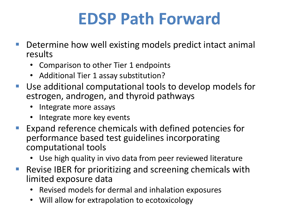# **EDSP Path Forward**

- Determine how well existing models predict intact animal results
	- Comparison to other Tier 1 endpoints
	- Additional Tier 1 assay substitution?
- Use additional computational tools to develop models for estrogen, androgen, and thyroid pathways
	- Integrate more assays
	- Integrate more key events
- Expand reference chemicals with defined potencies for performance based test guidelines incorporating computational tools
	- Use high quality in vivo data from peer reviewed literature
- Revise IBER for prioritizing and screening chemicals with limited exposure data
	- Revised models for dermal and inhalation exposures
	- Will allow for extrapolation to ecotoxicology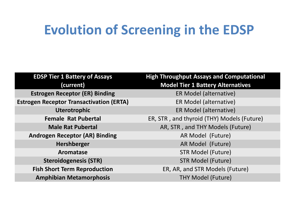## **Evolution of Screening in the EDSP**

| <b>EDSP Tier 1 Battery of Assays</b>            | <b>High Throughput Assays and Computational</b> |
|-------------------------------------------------|-------------------------------------------------|
| (current)                                       | <b>Model Tier 1 Battery Alternatives</b>        |
| <b>Estrogen Receptor (ER) Binding</b>           | ER Model (alternative)                          |
| <b>Estrogen Receptor Transactivation (ERTA)</b> | ER Model (alternative)                          |
| <b>Uterotrophic</b>                             | ER Model (alternative)                          |
| <b>Female Rat Pubertal</b>                      | ER, STR, and thyroid (THY) Models (Future)      |
| <b>Male Rat Pubertal</b>                        | AR, STR, and THY Models (Future)                |
| <b>Androgen Receptor (AR) Binding</b>           | AR Model (Future)                               |
| Hershberger                                     | AR Model (Future)                               |
| Aromatase                                       | <b>STR Model (Future)</b>                       |
| <b>Steroidogenesis (STR)</b>                    | <b>STR Model (Future)</b>                       |
| <b>Fish Short Term Reproduction</b>             | ER, AR, and STR Models (Future)                 |
| <b>Amphibian Metamorphosis</b>                  | <b>THY Model (Future)</b>                       |